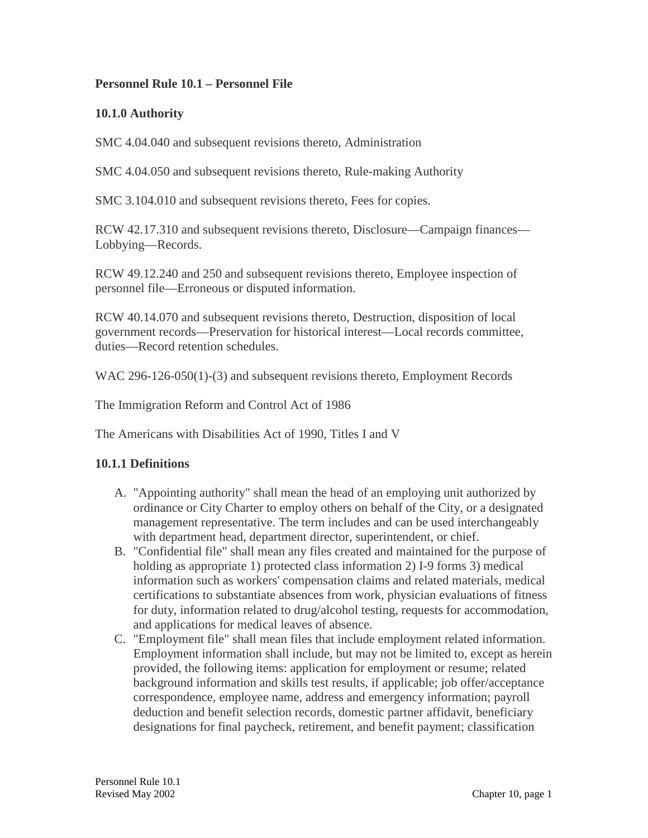#### **Personnel Rule 10.1 – Personnel File**

#### **10.1.0 Authority**

SMC 4.04.040 and subsequent revisions thereto, Administration

SMC 4.04.050 and subsequent revisions thereto, Rule-making Authority

SMC 3.104.010 and subsequent revisions thereto, Fees for copies.

RCW 42.17.310 and subsequent revisions thereto, Disclosure—Campaign finances— Lobbying—Records.

RCW 49.12.240 and 250 and subsequent revisions thereto, Employee inspection of personnel file—Erroneous or disputed information.

RCW 40.14.070 and subsequent revisions thereto, Destruction, disposition of local government records—Preservation for historical interest—Local records committee, duties—Record retention schedules.

WAC 296-126-050(1)-(3) and subsequent revisions thereto, Employment Records

The Immigration Reform and Control Act of 1986

The Americans with Disabilities Act of 1990, Titles I and V

#### **10.1.1 Definitions**

- A. "Appointing authority" shall mean the head of an employing unit authorized by ordinance or City Charter to employ others on behalf of the City, or a designated management representative. The term includes and can be used interchangeably with department head, department director, superintendent, or chief.
- B. "Confidential file" shall mean any files created and maintained for the purpose of holding as appropriate 1) protected class information 2) I-9 forms 3) medical information such as workers' compensation claims and related materials, medical certifications to substantiate absences from work, physician evaluations of fitness for duty, information related to drug/alcohol testing, requests for accommodation, and applications for medical leaves of absence.
- C. "Employment file" shall mean files that include employment related information. Employment information shall include, but may not be limited to, except as herein provided, the following items: application for employment or resume; related background information and skills test results, if applicable; job offer/acceptance correspondence, employee name, address and emergency information; payroll deduction and benefit selection records, domestic partner affidavit, beneficiary designations for final paycheck, retirement, and benefit payment; classification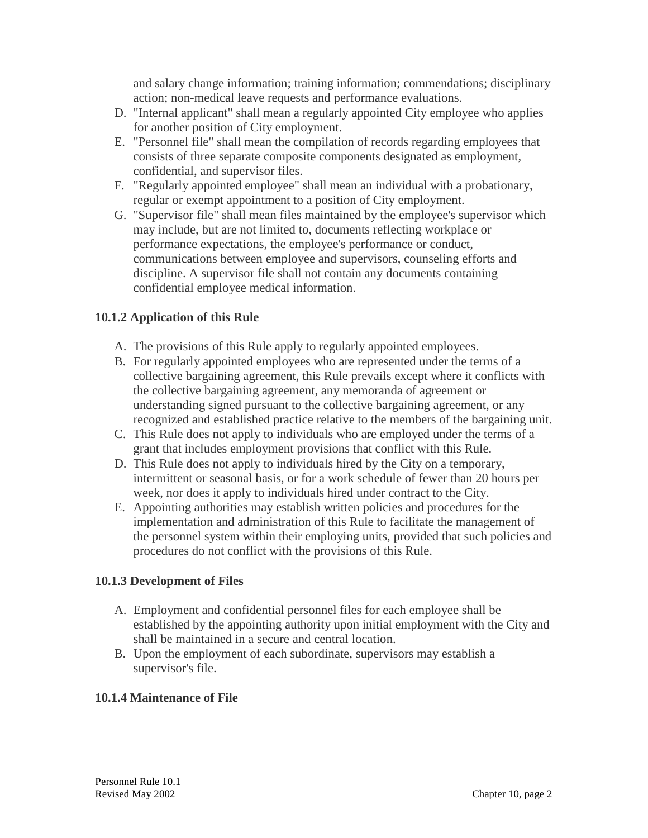and salary change information; training information; commendations; disciplinary action; non-medical leave requests and performance evaluations.

- D. "Internal applicant" shall mean a regularly appointed City employee who applies for another position of City employment.
- E. "Personnel file" shall mean the compilation of records regarding employees that consists of three separate composite components designated as employment, confidential, and supervisor files.
- F. "Regularly appointed employee" shall mean an individual with a probationary, regular or exempt appointment to a position of City employment.
- G. "Supervisor file" shall mean files maintained by the employee's supervisor which may include, but are not limited to, documents reflecting workplace or performance expectations, the employee's performance or conduct, communications between employee and supervisors, counseling efforts and discipline. A supervisor file shall not contain any documents containing confidential employee medical information.

# **10.1.2 Application of this Rule**

- A. The provisions of this Rule apply to regularly appointed employees.
- B. For regularly appointed employees who are represented under the terms of a collective bargaining agreement, this Rule prevails except where it conflicts with the collective bargaining agreement, any memoranda of agreement or understanding signed pursuant to the collective bargaining agreement, or any recognized and established practice relative to the members of the bargaining unit.
- C. This Rule does not apply to individuals who are employed under the terms of a grant that includes employment provisions that conflict with this Rule.
- D. This Rule does not apply to individuals hired by the City on a temporary, intermittent or seasonal basis, or for a work schedule of fewer than 20 hours per week, nor does it apply to individuals hired under contract to the City.
- E. Appointing authorities may establish written policies and procedures for the implementation and administration of this Rule to facilitate the management of the personnel system within their employing units, provided that such policies and procedures do not conflict with the provisions of this Rule.

# **10.1.3 Development of Files**

- A. Employment and confidential personnel files for each employee shall be established by the appointing authority upon initial employment with the City and shall be maintained in a secure and central location.
- B. Upon the employment of each subordinate, supervisors may establish a supervisor's file.

# **10.1.4 Maintenance of File**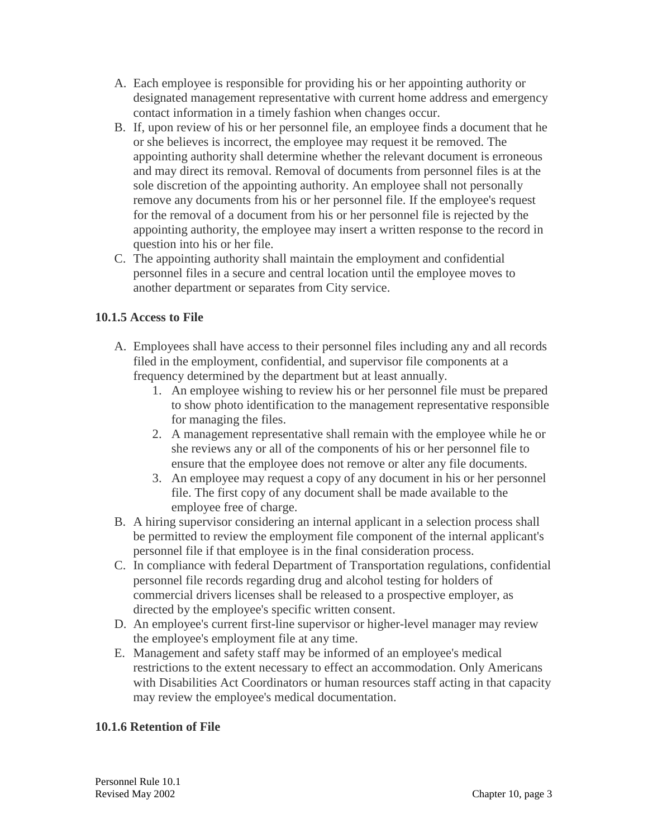- A. Each employee is responsible for providing his or her appointing authority or designated management representative with current home address and emergency contact information in a timely fashion when changes occur.
- B. If, upon review of his or her personnel file, an employee finds a document that he or she believes is incorrect, the employee may request it be removed. The appointing authority shall determine whether the relevant document is erroneous and may direct its removal. Removal of documents from personnel files is at the sole discretion of the appointing authority. An employee shall not personally remove any documents from his or her personnel file. If the employee's request for the removal of a document from his or her personnel file is rejected by the appointing authority, the employee may insert a written response to the record in question into his or her file.
- C. The appointing authority shall maintain the employment and confidential personnel files in a secure and central location until the employee moves to another department or separates from City service.

# **10.1.5 Access to File**

- A. Employees shall have access to their personnel files including any and all records filed in the employment, confidential, and supervisor file components at a frequency determined by the department but at least annually.
	- 1. An employee wishing to review his or her personnel file must be prepared to show photo identification to the management representative responsible for managing the files.
	- 2. A management representative shall remain with the employee while he or she reviews any or all of the components of his or her personnel file to ensure that the employee does not remove or alter any file documents.
	- 3. An employee may request a copy of any document in his or her personnel file. The first copy of any document shall be made available to the employee free of charge.
- B. A hiring supervisor considering an internal applicant in a selection process shall be permitted to review the employment file component of the internal applicant's personnel file if that employee is in the final consideration process.
- C. In compliance with federal Department of Transportation regulations, confidential personnel file records regarding drug and alcohol testing for holders of commercial drivers licenses shall be released to a prospective employer, as directed by the employee's specific written consent.
- D. An employee's current first-line supervisor or higher-level manager may review the employee's employment file at any time.
- E. Management and safety staff may be informed of an employee's medical restrictions to the extent necessary to effect an accommodation. Only Americans with Disabilities Act Coordinators or human resources staff acting in that capacity may review the employee's medical documentation.

# **10.1.6 Retention of File**